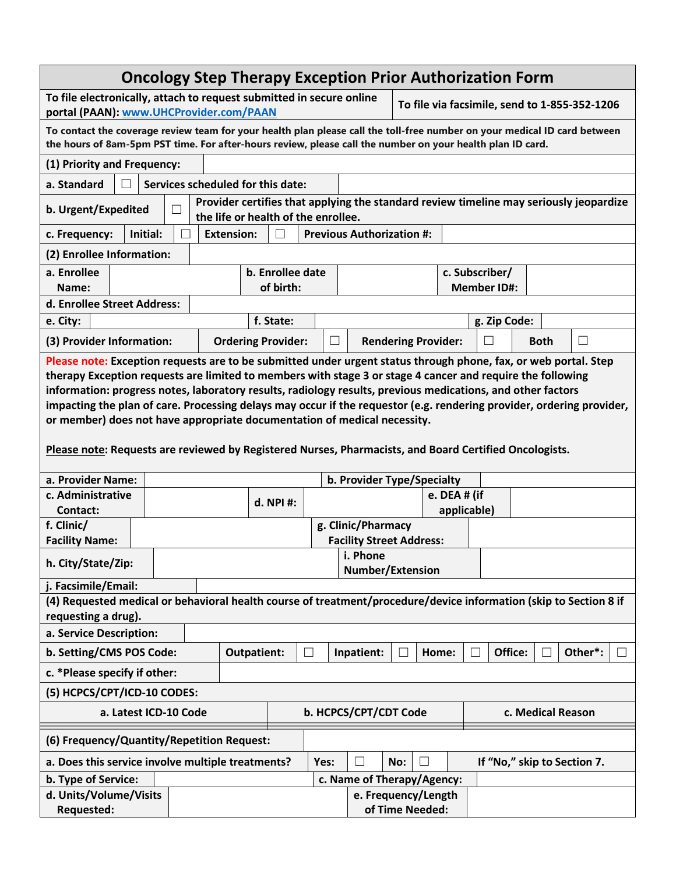| <b>Oncology Step Therapy Exception Prior Authorization Form</b>                                                                                                                                                                                                                                                                                                                                                                                                                                                                                                                                                                                             |  |                           |                               |                                        |                                     |                            |                             |                                      |                                  |  |  |
|-------------------------------------------------------------------------------------------------------------------------------------------------------------------------------------------------------------------------------------------------------------------------------------------------------------------------------------------------------------------------------------------------------------------------------------------------------------------------------------------------------------------------------------------------------------------------------------------------------------------------------------------------------------|--|---------------------------|-------------------------------|----------------------------------------|-------------------------------------|----------------------------|-----------------------------|--------------------------------------|----------------------------------|--|--|
| To file electronically, attach to request submitted in secure online<br>To file via facsimile, send to 1-855-352-1206<br>portal (PAAN): www.UHCProvider.com/PAAN                                                                                                                                                                                                                                                                                                                                                                                                                                                                                            |  |                           |                               |                                        |                                     |                            |                             |                                      |                                  |  |  |
| To contact the coverage review team for your health plan please call the toll-free number on your medical ID card between<br>the hours of 8am-5pm PST time. For after-hours review, please call the number on your health plan ID card.                                                                                                                                                                                                                                                                                                                                                                                                                     |  |                           |                               |                                        |                                     |                            |                             |                                      |                                  |  |  |
| (1) Priority and Frequency:                                                                                                                                                                                                                                                                                                                                                                                                                                                                                                                                                                                                                                 |  |                           |                               |                                        |                                     |                            |                             |                                      |                                  |  |  |
| Services scheduled for this date:<br>a. Standard<br>П                                                                                                                                                                                                                                                                                                                                                                                                                                                                                                                                                                                                       |  |                           |                               |                                        |                                     |                            |                             |                                      |                                  |  |  |
| Provider certifies that applying the standard review timeline may seriously jeopardize<br>b. Urgent/Expedited<br>the life or health of the enrollee.                                                                                                                                                                                                                                                                                                                                                                                                                                                                                                        |  |                           |                               |                                        |                                     |                            |                             |                                      |                                  |  |  |
| <b>Previous Authorization #:</b><br>Initial:<br><b>Extension:</b><br>c. Frequency:<br>$\mathsf{L}$                                                                                                                                                                                                                                                                                                                                                                                                                                                                                                                                                          |  |                           |                               |                                        |                                     |                            |                             |                                      |                                  |  |  |
| (2) Enrollee Information:                                                                                                                                                                                                                                                                                                                                                                                                                                                                                                                                                                                                                                   |  |                           |                               |                                        |                                     |                            |                             |                                      |                                  |  |  |
| a. Enrollee<br>Name:                                                                                                                                                                                                                                                                                                                                                                                                                                                                                                                                                                                                                                        |  |                           | b. Enrollee date<br>of birth: |                                        |                                     |                            |                             | c. Subscriber/<br><b>Member ID#:</b> |                                  |  |  |
| d. Enrollee Street Address:                                                                                                                                                                                                                                                                                                                                                                                                                                                                                                                                                                                                                                 |  |                           |                               |                                        |                                     |                            |                             |                                      |                                  |  |  |
| f. State:<br>e. City:<br>g. Zip Code:                                                                                                                                                                                                                                                                                                                                                                                                                                                                                                                                                                                                                       |  |                           |                               |                                        |                                     |                            |                             |                                      |                                  |  |  |
| (3) Provider Information:                                                                                                                                                                                                                                                                                                                                                                                                                                                                                                                                                                                                                                   |  | <b>Ordering Provider:</b> |                               | $\Box$                                 |                                     | <b>Rendering Provider:</b> |                             |                                      | <b>Both</b><br>$\vert \ \ \vert$ |  |  |
| Please note: Exception requests are to be submitted under urgent status through phone, fax, or web portal. Step<br>therapy Exception requests are limited to members with stage 3 or stage 4 cancer and require the following<br>information: progress notes, laboratory results, radiology results, previous medications, and other factors<br>impacting the plan of care. Processing delays may occur if the requestor (e.g. rendering provider, ordering provider,<br>or member) does not have appropriate documentation of medical necessity.<br>Please note: Requests are reviewed by Registered Nurses, Pharmacists, and Board Certified Oncologists. |  |                           |                               |                                        |                                     |                            |                             |                                      |                                  |  |  |
| a. Provider Name:<br>b. Provider Type/Specialty                                                                                                                                                                                                                                                                                                                                                                                                                                                                                                                                                                                                             |  |                           |                               |                                        |                                     |                            |                             |                                      |                                  |  |  |
| c. Administrative<br>Contact:                                                                                                                                                                                                                                                                                                                                                                                                                                                                                                                                                                                                                               |  |                           | d. NPI #:                     |                                        |                                     |                            | e. DEA # (if<br>applicable) |                                      |                                  |  |  |
| f. Clinic/                                                                                                                                                                                                                                                                                                                                                                                                                                                                                                                                                                                                                                                  |  |                           |                               |                                        | g. Clinic/Pharmacy                  |                            |                             |                                      |                                  |  |  |
| <b>Facility Name:</b>                                                                                                                                                                                                                                                                                                                                                                                                                                                                                                                                                                                                                                       |  |                           |                               |                                        | <b>Facility Street Address:</b>     |                            |                             |                                      |                                  |  |  |
| h. City/State/Zip:                                                                                                                                                                                                                                                                                                                                                                                                                                                                                                                                                                                                                                          |  |                           |                               |                                        | i. Phone<br><b>Number/Extension</b> |                            |                             |                                      |                                  |  |  |
| j. Facsimile/Email:                                                                                                                                                                                                                                                                                                                                                                                                                                                                                                                                                                                                                                         |  |                           |                               |                                        |                                     |                            |                             |                                      |                                  |  |  |
| (4) Requested medical or behavioral health course of treatment/procedure/device information (skip to Section 8 if<br>requesting a drug).                                                                                                                                                                                                                                                                                                                                                                                                                                                                                                                    |  |                           |                               |                                        |                                     |                            |                             |                                      |                                  |  |  |
| a. Service Description:                                                                                                                                                                                                                                                                                                                                                                                                                                                                                                                                                                                                                                     |  |                           |                               |                                        |                                     |                            |                             |                                      |                                  |  |  |
| b. Setting/CMS POS Code:                                                                                                                                                                                                                                                                                                                                                                                                                                                                                                                                                                                                                                    |  | <b>Outpatient:</b>        |                               | $\vert \ \ \vert$                      | Inpatient:                          |                            | Home:                       | Office:                              | Other*:                          |  |  |
| c. * Please specify if other:                                                                                                                                                                                                                                                                                                                                                                                                                                                                                                                                                                                                                               |  |                           |                               |                                        |                                     |                            |                             |                                      |                                  |  |  |
| (5) HCPCS/CPT/ICD-10 CODES:                                                                                                                                                                                                                                                                                                                                                                                                                                                                                                                                                                                                                                 |  |                           |                               |                                        |                                     |                            |                             |                                      |                                  |  |  |
| a. Latest ICD-10 Code<br>b. HCPCS/CPT/CDT Code<br>c. Medical Reason                                                                                                                                                                                                                                                                                                                                                                                                                                                                                                                                                                                         |  |                           |                               |                                        |                                     |                            |                             |                                      |                                  |  |  |
| (6) Frequency/Quantity/Repetition Request:                                                                                                                                                                                                                                                                                                                                                                                                                                                                                                                                                                                                                  |  |                           |                               |                                        |                                     |                            |                             |                                      |                                  |  |  |
| a. Does this service involve multiple treatments?                                                                                                                                                                                                                                                                                                                                                                                                                                                                                                                                                                                                           |  |                           |                               | Yes:                                   |                                     | No:                        |                             |                                      | If "No," skip to Section 7.      |  |  |
| b. Type of Service:                                                                                                                                                                                                                                                                                                                                                                                                                                                                                                                                                                                                                                         |  |                           |                               |                                        | c. Name of Therapy/Agency:          |                            |                             |                                      |                                  |  |  |
| d. Units/Volume/Visits<br><b>Requested:</b>                                                                                                                                                                                                                                                                                                                                                                                                                                                                                                                                                                                                                 |  |                           |                               | e. Frequency/Length<br>of Time Needed: |                                     |                            |                             |                                      |                                  |  |  |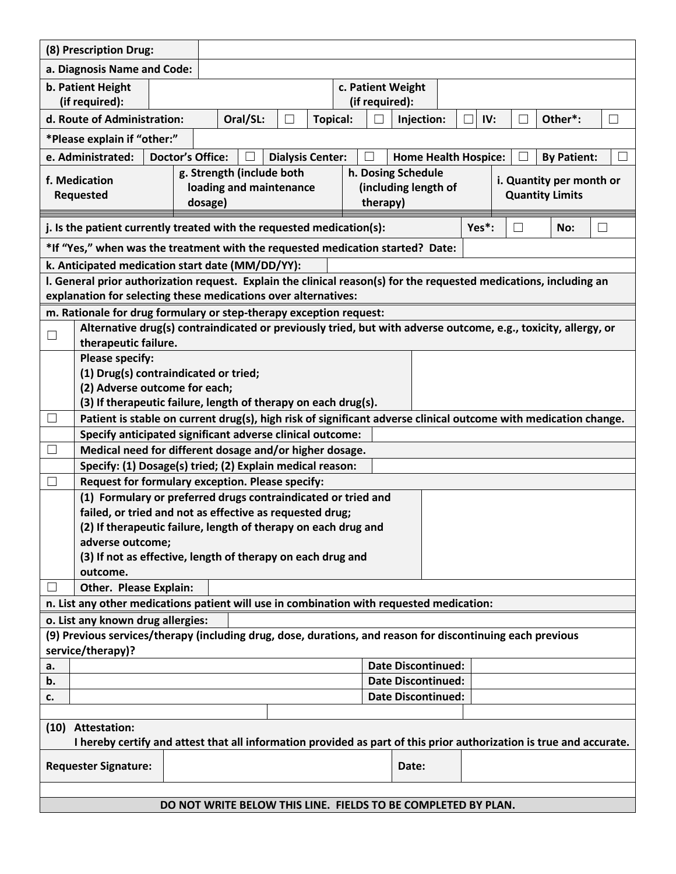|                                                                                                                                                                   | (8) Prescription Drug:                                                                                             |  |  |  |          |  |  |                    |                 |  |            |  |  |     |   |  |         |  |  |
|-------------------------------------------------------------------------------------------------------------------------------------------------------------------|--------------------------------------------------------------------------------------------------------------------|--|--|--|----------|--|--|--------------------|-----------------|--|------------|--|--|-----|---|--|---------|--|--|
|                                                                                                                                                                   | a. Diagnosis Name and Code:                                                                                        |  |  |  |          |  |  |                    |                 |  |            |  |  |     |   |  |         |  |  |
| b. Patient Height<br>c. Patient Weight<br>(if required):<br>(if required):                                                                                        |                                                                                                                    |  |  |  |          |  |  |                    |                 |  |            |  |  |     |   |  |         |  |  |
| d. Route of Administration:                                                                                                                                       |                                                                                                                    |  |  |  | Oral/SL: |  |  |                    | <b>Topical:</b> |  | Injection: |  |  | IV: | H |  | Other*: |  |  |
| *Please explain if "other:"                                                                                                                                       |                                                                                                                    |  |  |  |          |  |  |                    |                 |  |            |  |  |     |   |  |         |  |  |
| e. Administrated:<br><b>Doctor's Office:</b><br><b>Dialysis Center:</b><br><b>Home Health Hospice:</b><br><b>By Patient:</b>                                      |                                                                                                                    |  |  |  |          |  |  |                    |                 |  |            |  |  |     |   |  |         |  |  |
| g. Strength (include both                                                                                                                                         |                                                                                                                    |  |  |  |          |  |  | h. Dosing Schedule |                 |  |            |  |  |     |   |  |         |  |  |
| f. Medication<br>i. Quantity per month or<br>loading and maintenance<br>(including length of<br><b>Quantity Limits</b><br><b>Requested</b><br>therapy)<br>dosage) |                                                                                                                    |  |  |  |          |  |  |                    |                 |  |            |  |  |     |   |  |         |  |  |
| Yes*:<br>j. Is the patient currently treated with the requested medication(s):<br>$\Box$<br>No:<br>$\mathbf{L}$                                                   |                                                                                                                    |  |  |  |          |  |  |                    |                 |  |            |  |  |     |   |  |         |  |  |
|                                                                                                                                                                   |                                                                                                                    |  |  |  |          |  |  |                    |                 |  |            |  |  |     |   |  |         |  |  |
| *If "Yes," when was the treatment with the requested medication started? Date:<br>k. Anticipated medication start date (MM/DD/YY):                                |                                                                                                                    |  |  |  |          |  |  |                    |                 |  |            |  |  |     |   |  |         |  |  |
|                                                                                                                                                                   | I. General prior authorization request. Explain the clinical reason(s) for the requested medications, including an |  |  |  |          |  |  |                    |                 |  |            |  |  |     |   |  |         |  |  |
|                                                                                                                                                                   |                                                                                                                    |  |  |  |          |  |  |                    |                 |  |            |  |  |     |   |  |         |  |  |
| explanation for selecting these medications over alternatives:<br>m. Rationale for drug formulary or step-therapy exception request:                              |                                                                                                                    |  |  |  |          |  |  |                    |                 |  |            |  |  |     |   |  |         |  |  |
| Alternative drug(s) contraindicated or previously tried, but with adverse outcome, e.g., toxicity, allergy, or                                                    |                                                                                                                    |  |  |  |          |  |  |                    |                 |  |            |  |  |     |   |  |         |  |  |
| $\Box$<br>therapeutic failure.                                                                                                                                    |                                                                                                                    |  |  |  |          |  |  |                    |                 |  |            |  |  |     |   |  |         |  |  |
|                                                                                                                                                                   | <b>Please specify:</b>                                                                                             |  |  |  |          |  |  |                    |                 |  |            |  |  |     |   |  |         |  |  |
|                                                                                                                                                                   | (1) Drug(s) contraindicated or tried;                                                                              |  |  |  |          |  |  |                    |                 |  |            |  |  |     |   |  |         |  |  |
|                                                                                                                                                                   | (2) Adverse outcome for each;                                                                                      |  |  |  |          |  |  |                    |                 |  |            |  |  |     |   |  |         |  |  |
| (3) If therapeutic failure, length of therapy on each drug(s).                                                                                                    |                                                                                                                    |  |  |  |          |  |  |                    |                 |  |            |  |  |     |   |  |         |  |  |
| Patient is stable on current drug(s), high risk of significant adverse clinical outcome with medication change.<br>$\mathbf{r}$                                   |                                                                                                                    |  |  |  |          |  |  |                    |                 |  |            |  |  |     |   |  |         |  |  |
| Specify anticipated significant adverse clinical outcome:                                                                                                         |                                                                                                                    |  |  |  |          |  |  |                    |                 |  |            |  |  |     |   |  |         |  |  |
| Medical need for different dosage and/or higher dosage.<br>$\mathcal{L}$                                                                                          |                                                                                                                    |  |  |  |          |  |  |                    |                 |  |            |  |  |     |   |  |         |  |  |
| Specify: (1) Dosage(s) tried; (2) Explain medical reason:<br>Request for formulary exception. Please specify:                                                     |                                                                                                                    |  |  |  |          |  |  |                    |                 |  |            |  |  |     |   |  |         |  |  |
|                                                                                                                                                                   | (1) Formulary or preferred drugs contraindicated or tried and                                                      |  |  |  |          |  |  |                    |                 |  |            |  |  |     |   |  |         |  |  |
|                                                                                                                                                                   |                                                                                                                    |  |  |  |          |  |  |                    |                 |  |            |  |  |     |   |  |         |  |  |
| failed, or tried and not as effective as requested drug;                                                                                                          |                                                                                                                    |  |  |  |          |  |  |                    |                 |  |            |  |  |     |   |  |         |  |  |
| (2) If therapeutic failure, length of therapy on each drug and<br>adverse outcome;                                                                                |                                                                                                                    |  |  |  |          |  |  |                    |                 |  |            |  |  |     |   |  |         |  |  |
|                                                                                                                                                                   | (3) If not as effective, length of therapy on each drug and                                                        |  |  |  |          |  |  |                    |                 |  |            |  |  |     |   |  |         |  |  |
|                                                                                                                                                                   | outcome.                                                                                                           |  |  |  |          |  |  |                    |                 |  |            |  |  |     |   |  |         |  |  |
|                                                                                                                                                                   | Other. Please Explain:                                                                                             |  |  |  |          |  |  |                    |                 |  |            |  |  |     |   |  |         |  |  |
| n. List any other medications patient will use in combination with requested medication:                                                                          |                                                                                                                    |  |  |  |          |  |  |                    |                 |  |            |  |  |     |   |  |         |  |  |
| o. List any known drug allergies:                                                                                                                                 |                                                                                                                    |  |  |  |          |  |  |                    |                 |  |            |  |  |     |   |  |         |  |  |
| (9) Previous services/therapy (including drug, dose, durations, and reason for discontinuing each previous<br>service/therapy)?                                   |                                                                                                                    |  |  |  |          |  |  |                    |                 |  |            |  |  |     |   |  |         |  |  |
| a.                                                                                                                                                                | <b>Date Discontinued:</b>                                                                                          |  |  |  |          |  |  |                    |                 |  |            |  |  |     |   |  |         |  |  |
| b.                                                                                                                                                                | <b>Date Discontinued:</b>                                                                                          |  |  |  |          |  |  |                    |                 |  |            |  |  |     |   |  |         |  |  |
| c.                                                                                                                                                                | <b>Date Discontinued:</b>                                                                                          |  |  |  |          |  |  |                    |                 |  |            |  |  |     |   |  |         |  |  |
|                                                                                                                                                                   |                                                                                                                    |  |  |  |          |  |  |                    |                 |  |            |  |  |     |   |  |         |  |  |
| (10) Attestation:<br>I hereby certify and attest that all information provided as part of this prior authorization is true and accurate.                          |                                                                                                                    |  |  |  |          |  |  |                    |                 |  |            |  |  |     |   |  |         |  |  |
|                                                                                                                                                                   | <b>Requester Signature:</b>                                                                                        |  |  |  |          |  |  |                    |                 |  | Date:      |  |  |     |   |  |         |  |  |
|                                                                                                                                                                   |                                                                                                                    |  |  |  |          |  |  |                    |                 |  |            |  |  |     |   |  |         |  |  |
| DO NOT WRITE BELOW THIS LINE. FIELDS TO BE COMPLETED BY PLAN.                                                                                                     |                                                                                                                    |  |  |  |          |  |  |                    |                 |  |            |  |  |     |   |  |         |  |  |